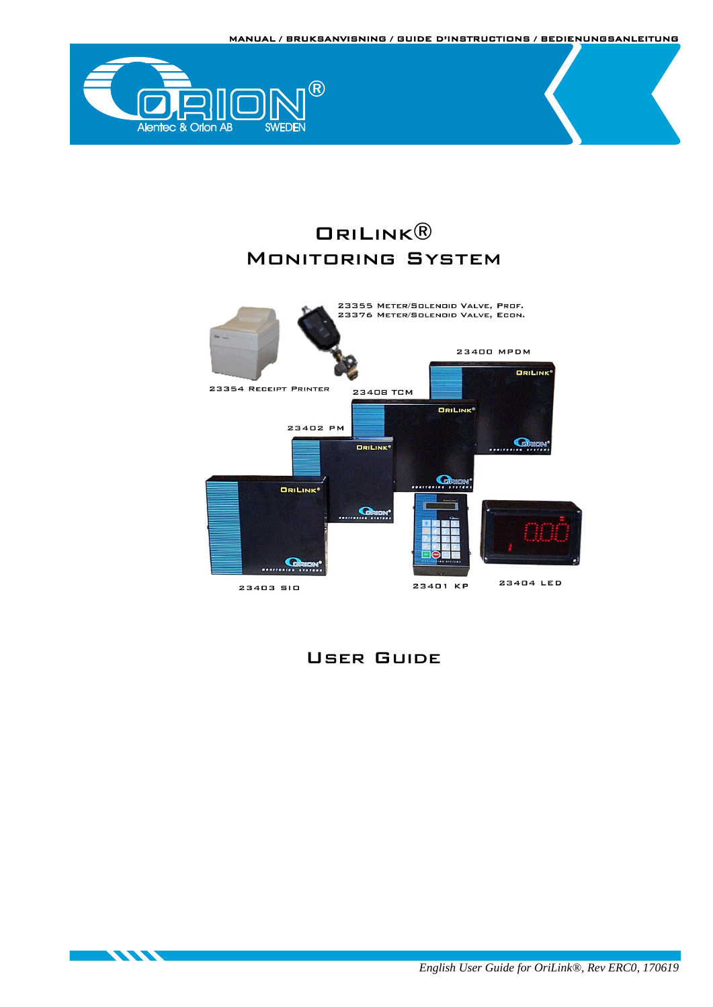MANUAL / BRUKSANVISNING / GUIDE D'INSTRUCTIONS / BEDIENUNGSANLEITUNG



**STATE OF STREET** 

# OriLink® Monitoring System



# User Guide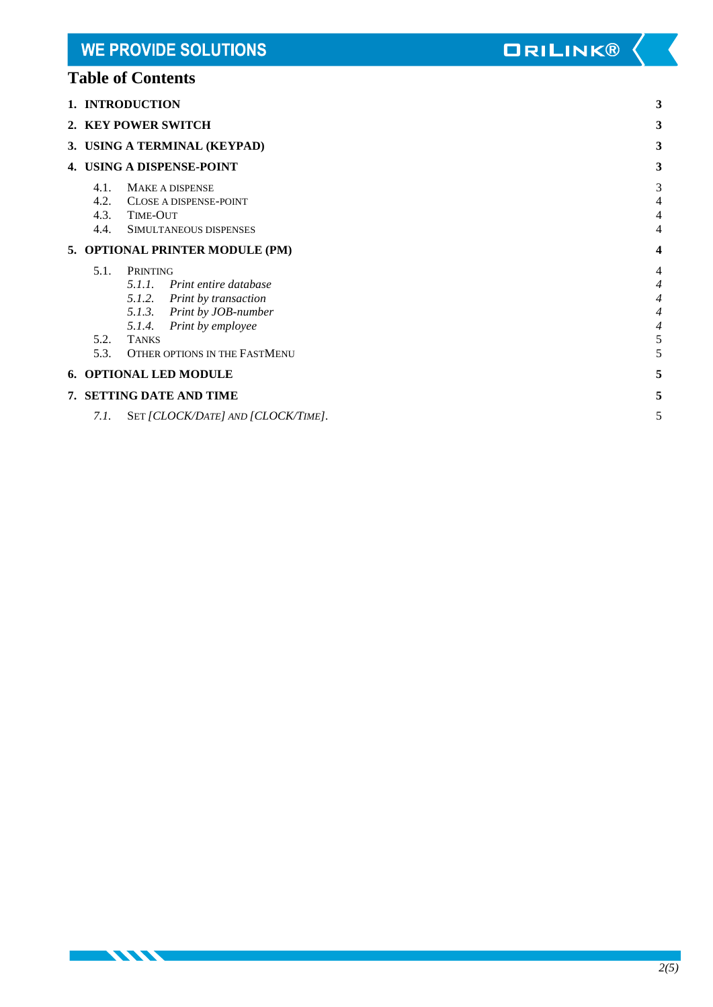# **Table of Contents**

**STATISTICS** 

|                                 | 1. INTRODUCTION                                                                                                                                                                       | 3                                                         |
|---------------------------------|---------------------------------------------------------------------------------------------------------------------------------------------------------------------------------------|-----------------------------------------------------------|
|                                 | 2. KEY POWER SWITCH                                                                                                                                                                   | 3                                                         |
|                                 | 3. USING A TERMINAL (KEYPAD)                                                                                                                                                          | 3                                                         |
|                                 | 4. USING A DISPENSE-POINT                                                                                                                                                             | 3                                                         |
| 4.1.<br>4.2.<br>4.3.<br>4.4.    | <b>MAKE A DISPENSE</b><br>CLOSE A DISPENSE-POINT<br><b>TIME-OUT</b><br>SIMULTANEOUS DISPENSES                                                                                         | 3<br>4<br>4<br>4                                          |
| 5. OPTIONAL PRINTER MODULE (PM) |                                                                                                                                                                                       | 4                                                         |
| 5.1.<br>5.2.<br>5.3.            | PRINTING<br>5.1.1. Print entire database<br>5.1.2. Print by transaction<br>5.1.3. Print by JOB-number<br>5.1.4.<br>Print by employee<br><b>TANKS</b><br>OTHER OPTIONS IN THE FASTMENU | 4<br>4<br>4<br>$\overline{4}$<br>$\overline{4}$<br>5<br>5 |
|                                 | 6. OPTIONAL LED MODULE                                                                                                                                                                | 5                                                         |
|                                 | 7. SETTING DATE AND TIME                                                                                                                                                              | 5                                                         |
| 7.1.                            | SET [CLOCK/DATE] AND [CLOCK/TIME].                                                                                                                                                    | 5                                                         |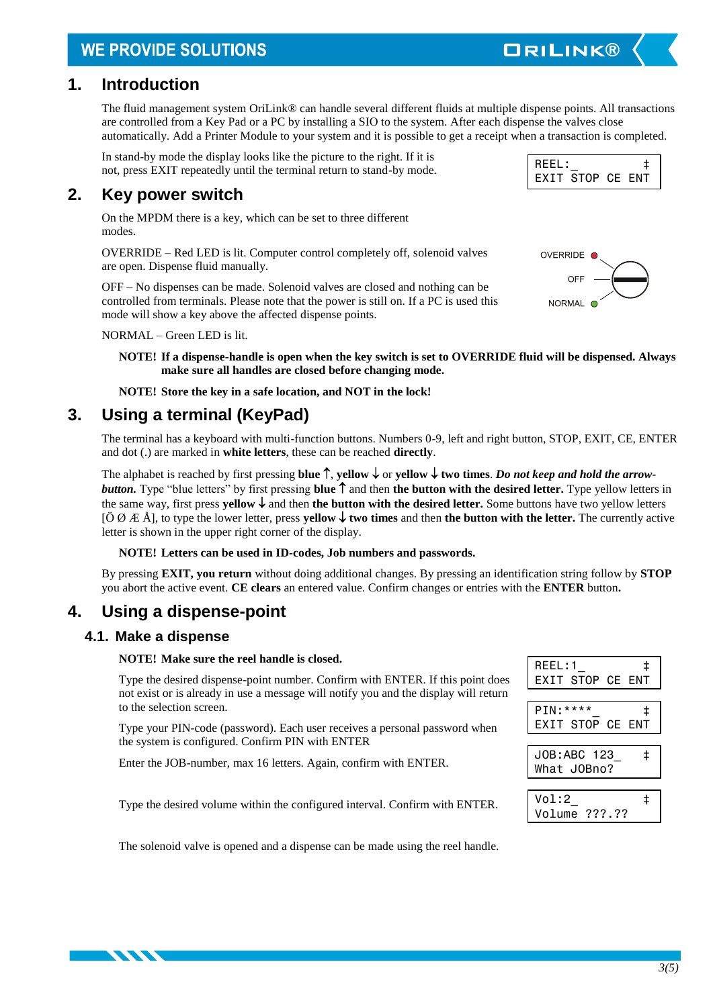# **WE PROVIDE SOLUTIONS**

### <span id="page-2-0"></span>**1. Introduction**

The fluid management system OriLink® can handle several different fluids at multiple dispense points. All transactions are controlled from a Key Pad or a PC by installing a SIO to the system. After each dispense the valves close automatically. Add a Printer Module to your system and it is possible to get a receipt when a transaction is completed.

In stand-by mode the display looks like the picture to the right. If it is not, press EXIT repeatedly until the terminal return to stand-by mode.

### <span id="page-2-1"></span>**2. Key power switch**

On the MPDM there is a key, which can be set to three different modes.

OVERRIDE – Red LED is lit. Computer control completely off, solenoid valves are open. Dispense fluid manually.

OFF – No dispenses can be made. Solenoid valves are closed and nothing can be controlled from terminals. Please note that the power is still on. If a PC is used this mode will show a key above the affected dispense points.

NORMAL – Green LED is lit.

**NOTE! If a dispense-handle is open when the key switch is set to OVERRIDE fluid will be dispensed. Always make sure all handles are closed before changing mode.**

**NOTE! Store the key in a safe location, and NOT in the lock!**

## <span id="page-2-2"></span>**3. Using a terminal (KeyPad)**

The terminal has a keyboard with multi-function buttons. Numbers 0-9, left and right button, STOP, EXIT, CE, ENTER and dot (.) are marked in **white letters**, these can be reached **directly**.

The alphabet is reached by first pressing **blue**  $\uparrow$ , **yellow**  $\downarrow$  or **yellow**  $\downarrow$  **two times**. *Do not keep and hold the arrowbutton.* **Type "blue letters" by first pressing <b>blue**  $\uparrow$  and then the button with the desired letter. Type yellow letters in the same way, first press **yellow**  $\downarrow$  and then **the button with the desired letter.** Some buttons have two yellow letters  $[\vec{O} \not\Omega \not\to \hat{A}]$ , to type the lower letter, press **yellow**  $\downarrow$  **two times** and then **the button with the letter.** The currently active letter is shown in the upper right corner of the display.

#### **NOTE! Letters can be used in ID-codes, Job numbers and passwords.**

By pressing **EXIT, you return** without doing additional changes. By pressing an identification string follow by **STOP**  you abort the active event. **CE clears** an entered value. Confirm changes or entries with the **ENTER** button**.**

# <span id="page-2-3"></span>**4. Using a dispense-point**

### <span id="page-2-4"></span>**4.1. Make a dispense**

#### **NOTE! Make sure the reel handle is closed.**

Type the desired dispense-point number. Confirm with ENTER. If this point does not exist or is already in use a message will notify you and the display will return to the selection screen.

Type your PIN-code (password). Each user receives a personal password when the system is configured. Confirm PIN with ENTER

Enter the JOB-number, max 16 letters. Again, confirm with ENTER.

Type the desired volume within the configured interval. Confirm with ENTER.

| REEL:1<br>ŧ<br>EXIT STOP CE ENT           |
|-------------------------------------------|
|                                           |
| $PIN:***$<br>ŧ<br><b>EXIT STOP CE ENT</b> |
| JOB:ABC 123<br>ŧ<br>What JOBno?           |
|                                           |
| Vol:2<br>İ<br>$??\, ??$<br>Volume         |

The solenoid valve is opened and a dispense can be made using the reel handle.



REEL: EXIT STOP CE ENT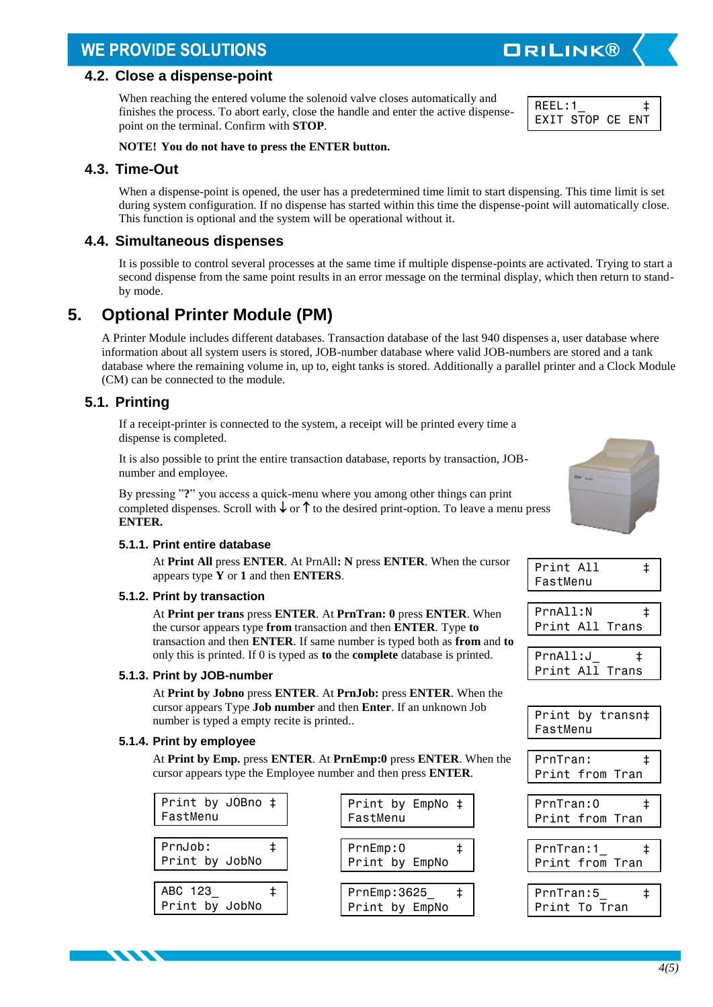# **WE PROVIDE SOLUTIONS**

#### <span id="page-3-0"></span>**4.2. Close a dispense-point**

When reaching the entered volume the solenoid valve closes automatically and finishes the process. To abort early, close the handle and enter the active dispensepoint on the terminal. Confirm with **STOP**.

REEL:1\_ ‡ EXIT STOP CE ENT

**ORILINK®** 

#### **NOTE! You do not have to press the ENTER button.**

### <span id="page-3-1"></span>**4.3. Time-Out**

When a dispense-point is opened, the user has a predetermined time limit to start dispensing. This time limit is set during system configuration. If no dispense has started within this time the dispense-point will automatically close. This function is optional and the system will be operational without it.

### <span id="page-3-2"></span>**4.4. Simultaneous dispenses**

It is possible to control several processes at the same time if multiple dispense-points are activated. Trying to start a second dispense from the same point results in an error message on the terminal display, which then return to standby mode.

# <span id="page-3-3"></span>**5. Optional Printer Module (PM)**

A Printer Module includes different databases. Transaction database of the last 940 dispenses a, user database where information about all system users is stored, JOB-number database where valid JOB-numbers are stored and a tank database where the remaining volume in, up to, eight tanks is stored. Additionally a parallel printer and a Clock Module (CM) can be connected to the module.

### <span id="page-3-4"></span>**5.1. Printing**

If a receipt-printer is connected to the system, a receipt will be printed every time a dispense is completed.

It is also possible to print the entire transaction database, reports by transaction, JOBnumber and employee.

By pressing "**?**" you access a quick-menu where you among other things can print completed dispenses. Scroll with  $\downarrow$  or  $\uparrow$  to the desired print-option. To leave a menu press **ENTER.**

#### <span id="page-3-5"></span>**5.1.1. Print entire database**

At **Print All** press **ENTER**. At PrnAll**: N** press **ENTER**. When the cursor appears type **Y** or **1** and then **ENTERS**.

#### <span id="page-3-6"></span>**5.1.2. Print by transaction**

At **Print per trans** press **ENTER**. At **PrnTran: 0** press **ENTER**. When the cursor appears type **from** transaction and then **ENTER**. Type **to** transaction and then **ENTER**. If same number is typed both as **from** and **to** only this is printed. If 0 is typed as **to** the **complete** database is printed.

#### <span id="page-3-7"></span>**5.1.3. Print by JOB-number**

At **Print by Jobno** press **ENTER**. At **PrnJob:** press **ENTER**. When the cursor appears Type **Job number** and then **Enter**. If an unknown Job number is typed a empty recite is printed..

#### <span id="page-3-8"></span>**5.1.4. Print by employee**

**KANA** 

At **Print by Emp.** press **ENTER**. At **PrnEmp:0** press **ENTER**. When the cursor appears type the Employee number and then press **ENTER**.

| Print by JOBno ‡<br>FastMenu |  | Print by EmpNo ‡<br>FastMenu   |
|------------------------------|--|--------------------------------|
| PrnJob:<br>Print by JobNo    |  | PrnEmp:0<br>Print by EmpNo     |
| ABC 123<br>Print by JobNo    |  | PrnEmp:3625_<br>Print by EmpNo |



| FastMenu |  |
|----------|--|

| PrnAll:N        |  |
|-----------------|--|
| Print All Trans |  |

| PrnAll:J | ≠ |                 |
|----------|---|-----------------|
|          |   | Print All Trans |



| PrnTran:        |  |  |
|-----------------|--|--|
| Print from Tran |  |  |

| PrnTran:0       |  |
|-----------------|--|
| Print from Tran |  |
|                 |  |
| PrnTran:1       |  |
| Print from Tran |  |
|                 |  |
| PrnTran:5       |  |
| Print To Tran   |  |